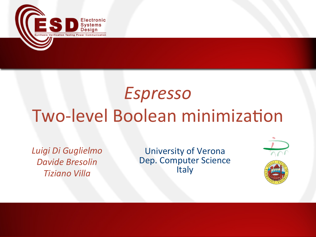

# *Espresso*

# **Two-level Boolean minimization**

*Luigi+Di+Guglielmo+ Davide+Bresolin+ Tiziano+Villa+*

University of Verona Dep. Computer Science **Italy** 

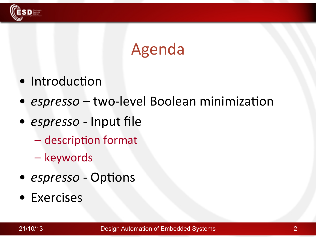

## Agenda!

- Introduction
- **e** espresso two-level Boolean minimization
- *espresso* Input file
	- $-$  description format
	- keywords!
- *espresso* Options
- Exercises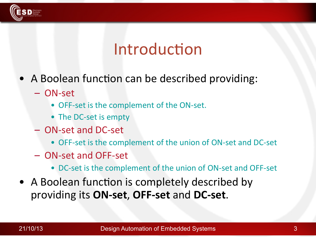

### Introduction

- A Boolean function can be described providing:
	- ON-set
		- OFF-set is the complement of the ON-set.
		- The DC-set is empty
	- ON-set and DC-set
		- OFF-set is the complement of the union of ON-set and DC-set
	- ON-set and OFF-set
		- DC-set is the complement of the union of ON-set and OFF-set
- A Boolean function is completely described by providing its **ON-set**, **OFF-set** and **DC-set**.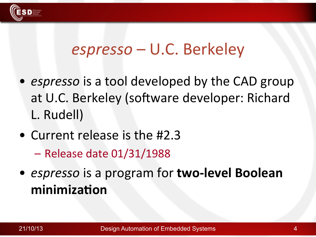

#### *espresso+*–!U.C.!Berkeley

- *espresso* is a tool developed by the CAD group at U.C. Berkeley (software developer: Richard L. Rudell)
- Current release is the  $#2.3$ 
	- Release date 01/31/1988
- *espresso* is a program for **two-level Boolean minimiza5on**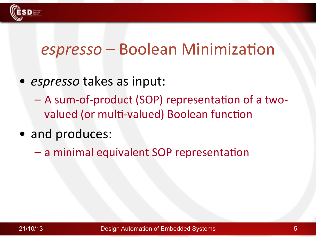

#### *espresso* – Boolean Minimization

- *espresso* takes as input:
	- A sum-of-product (SOP) representation of a twovalued (or multi-valued) Boolean function
- and produces:
	- a minimal equivalent SOP representation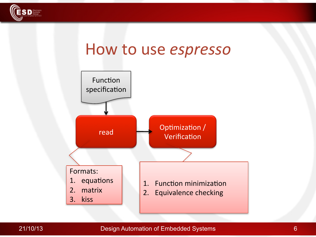

#### How to use *espresso*



#### 21/10/13 6 Design Automation of Embedded Systems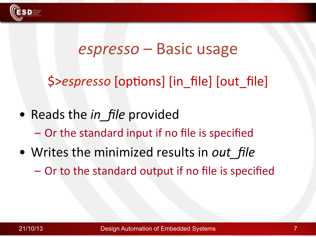

#### *espresso*!–!Basic!usage!

\$>espresso [options] [in\_file] [out\_file]

- Reads the *in\_file* provided – Or the standard input if no file is specified
- Writes the minimized results in out file  $-$  Or to the standard output if no file is specified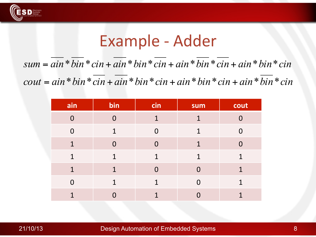

#### Example - Adder

 $sum =ain * bin * cin + ain * bin * cin + ain * bin * cin + ain * cin + ain * bin * cin$  $\text{cout} = \text{ain} * \text{bin} * \text{cin} + \text{ain} * \text{bin} * \text{cin} + \text{ain} * \text{bin} * \text{cin} + \text{ain} * \text{bin} * \text{cin}$ 

| ain            | bin            | cin          | sum            | cout     |
|----------------|----------------|--------------|----------------|----------|
| $\overline{0}$ | $\overline{0}$ | 1            | 1              | 0        |
| $\Omega$       | $\mathbf 1$    | $\Omega$     | $\overline{1}$ | O        |
| 1              | $\Omega$       | $\Omega$     | 1              | $\Omega$ |
| 1              | $\mathbf{1}$   | $\mathbf{1}$ | 1              | 1        |
| 1              | $\mathbf{1}$   | $\Omega$     | $\overline{0}$ | 1        |
| $\Omega$       | $\mathbf 1$    | 1            | $\Omega$       | 1        |
| 1              | O              | 1            | O              | 1        |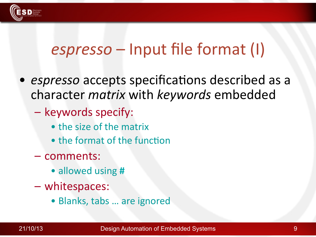

#### espresso – Input file format (I)

- *espresso* accepts specifications described as a character!*matrix*!with!*keywords*!embedded!
	- keywords specify:
		- the size of the matrix
		- the format of the function
	- comments:!
		- allowed using #
	- whitespaces:
		- Blanks, tabs ... are ignored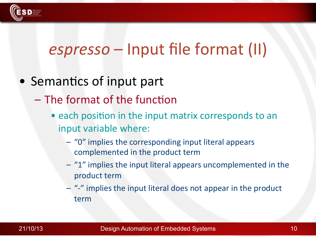

### espresso – Input file format (II)

- Semantics of input part
	- $-$  The format of the function
		- each position in the input matrix corresponds to an input variable where:
			- $-$  "0" implies the corresponding input literal appears complemented in the product term
			- $-$  "1" implies the input literal appears uncomplemented in the product term
			- $-$  "-" implies the input literal does not appear in the product term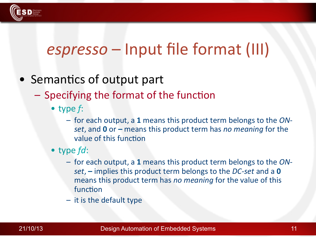

### espresso – Input file format (III)

- Semantics of output part
	- $-$  Specifying the format of the function
		- type  $f$ :
			- for each output, a 1 means this product term belongs to the *ONset***, and 0** or – means this product term has *no meaning* for the value of this function
		- type *fd*:
			- for each output, a 1 means this product term belongs to the ONset,  $-$  implies this product term belongs to the *DC-set* and a 0 means this product term has *no meaning* for the value of this function
			- $-$  it is the default type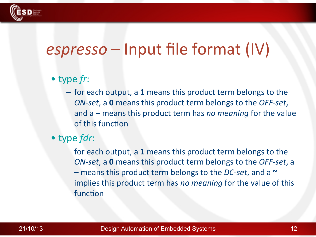

### espresso – Input file format (IV)

#### • type *fr*:

- for each output, a 1 means this product term belongs to the *ON-set*, a 0 means this product term belongs to the *OFF-set*, and a – means this product term has *no meaning* for the value of this function
- type *fdr*:
	- for each output, a 1 means this product term belongs to the *ON-set*, a **0** means this product term belongs to the *OFF-set*, a  $-$  means this product term belongs to the *DC-set*, and a  $\sim$ implies this product term has *no meaning* for the value of this function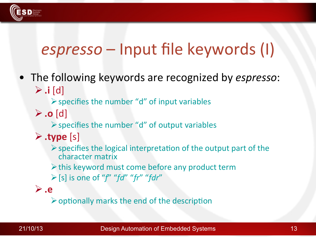

### espresso – Input file keywords (I)

• The following keywords are recognized by espresso:  $\triangleright$  i [d]

 $\triangleright$  specifies the number "d" of input variables

 $\triangleright$  .o [d]

 $\triangleright$  specifies the number "d" of output variables

- $\triangleright$  type [s]
	- $\triangleright$  specifies the logical interpretation of the output part of the character matrix
	- If this keyword must come before any product term
	- $\triangleright$  [s] is one of "f" "fd" "fr" "fdr"
- $\triangleright$  .e

 $\triangleright$  optionally marks the end of the description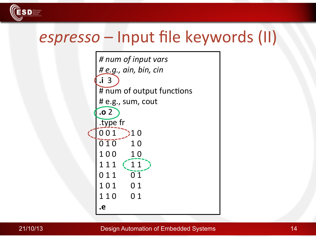

## espresso - Input file keywords (II)

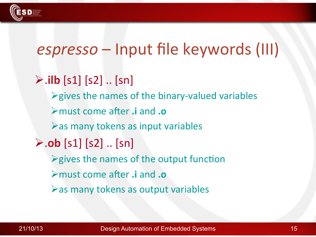

#### espresso – Input file keywords (III)

#### $\triangleright$ .ilb [s1] [s2] .. [sn]  $\triangleright$  gives the names of the binary-valued variables **e**.  $\epsilon$  and **b**.  $\alpha$  and **b.**  $\alpha$  $\triangleright$  as many tokens as input variables  $\triangleright$  **.ob** [s1] [s2] .. [sn]  $\triangleright$  gives the names of the output function **A** must come after **.i** and **.o**  $\triangleright$  as many tokens as output variables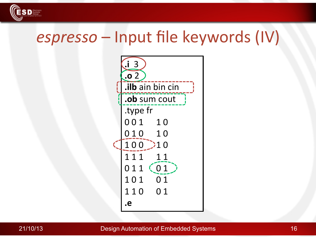

#### espresso – Input file keywords (IV)



21/10/13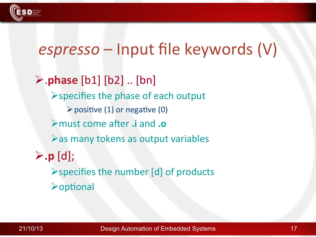

### espresso - Input file keywords (V)

 $\triangleright$ .phase [b1] [b2] .. [bn]  $\triangleright$  specifies the phase of each output  $\triangleright$  positive (1) or negative (0)  $\triangleright$  must come after .*i* and .**o** > as many tokens as output variables  $\triangleright$ .p [d];  $\triangleright$  specifies the number [d] of products **>optional**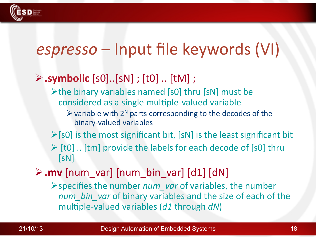

## espresso – Input file keywords (VI)

#### **Example 3.5 assumpt 5.5 assumpt 5.5 assumpt 5.5 assumpt 5.6 assumpt 5.6 assumpt 5.6 assumpt 5.6 assumpt 5.6 assumpting 5.6 assumpting 5.6 assumpting 5.6 assume 5.6 assume 5.6 assume 5.6 assume 5.6 assume 5.6 assume 5.6 as**

- $\triangleright$  the binary variables named [s0] thru [sN] must be considered as a single multiple-valued variable
	- $\triangleright$  variable with 2<sup>N</sup> parts corresponding to the decodes of the binary-valued variables
- $\triangleright$  [s0] is the most significant bit, [sN] is the least significant bit
- $\triangleright$  [t0] .. [tm] provide the labels for each decode of [s0] thru  $[SN]$

#### $\triangleright$ .mv [num\_var] [num\_bin\_var] [d1] [dN]

 $\triangleright$  specifies the number *num\_var* of variables, the number num bin var of binary variables and the size of each of the multiple-valued variables (*d1* through *dN*)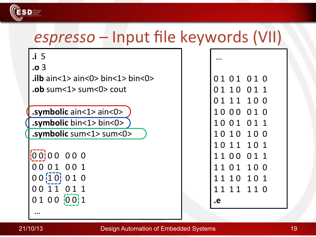

## espresso – Input file keywords (VII)

 $\mathbf{.}$ i 5  $.03$  $\cdot$ ilb ain<1> ain<0> bin<1> bin<0> .ob sum<1> sum<0> cout symbolic ain<1> ain<0> .symbolic bin<1> bin<0> .symbolic sum<1> sum<0> 00000000 0001 001  $00[10]010$ 11  $\Omega$  1 O O  $01000011$ 

 $\ddotsc$ 

#### **Design Automation of Embedded Systems**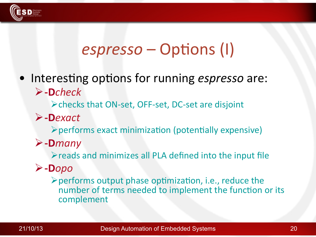

### $essoresso$  – Options (I)

• Interesting options for running *espresso* are: **#D***check*

 $\triangleright$  checks that ON-set, OFF-set, DC-set are disjoint

**#D***exact*

 $\triangleright$  performs exact minimization (potentially expensive)

**#D***many*

 $\triangleright$  reads and minimizes all PLA defined into the input file

- **#D***opo*
	- $\triangleright$  performs output phase optimization, i.e., reduce the number of terms needed to implement the function or its complement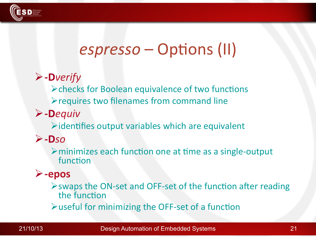

## espresso – Options (II)

#### $\triangleright$ -Dverify

> checks for Boolean equivalence of two functions

▶ requires two filenames from command line

 $\blacktriangleright$ -Dequiv

>identifies output variables which are equivalent

 $\triangleright$ -Dso

> minimizes each function one at time as a single-output function

#### $\triangleright$ -epos

→ Swaps the ON-set and OFF-set of the function after reading the function

 $\triangleright$  useful for minimizing the OFF-set of a function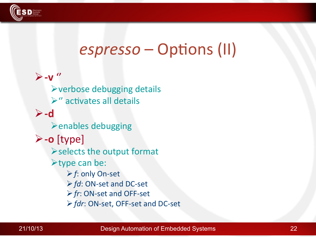

#### espresso – Options (II)

 $\blacktriangleright$ -V" ≻verbose debugging details  $\triangleright$ " activates all details  $\rightarrow$ -d **Examples debugging**  $\triangleright$ -o [type] Selects the output format >type can be: ≻f: only On-set > fd: ON-set and DC-set ≻ fr: ON-set and OFF-set *► fdr*: ON-set, OFF-set and DC-set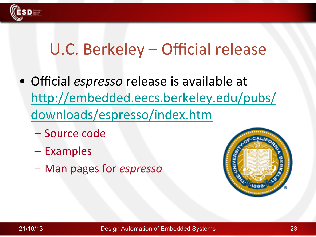

### U.C. Berkeley – Official release

- Official *espresso* release is available at http://embedded.eecs.berkeley.edu/pubs/ downloads/espresso/index.htm
	- Source code
	- Examples!
	- Man!pages!for!*espresso+*

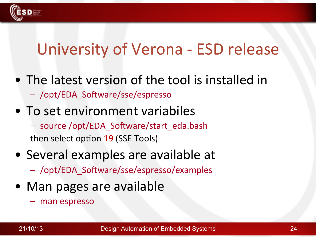### University of Verona - ESD release

- $\bullet$  The latest version of the tool is installed in - /opt/EDA\_Software/sse/espresso
- To set environment variabiles – source!/opt/EDA\_SoPware/start\_eda.bash then select option 19 (SSE Tools)
- Several examples are available at – /opt/EDA\_Software/sse/espresso/examples
- Man pages are available
	- man espresso

**SD** Systems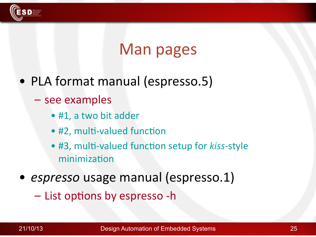

#### Man pages

- PLA format manual (espresso.5)
	- see examples
		- #1, a two bit adder
		- #2, multi-valued function
		- #3, multi-valued function setup for *kiss*-style minimization
- *espresso* usage manual (espresso.1) – List options by espresso -h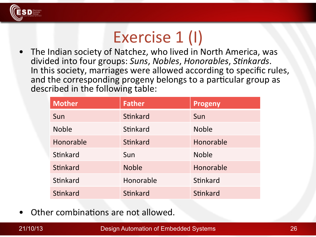

# Exercise 1 (I)

• The Indian society of Natchez, who lived in North America, was divided into four groups: Suns, Nobles, Honorables, Stinkards. In this society, marriages were allowed according to specific rules, and the corresponding progeny belongs to a particular group as described in the following table:

| <b>Mother</b> | <b>Father</b>   | Progeny         |
|---------------|-----------------|-----------------|
| Sun           | Stinkard        | Sun             |
| <b>Noble</b>  | Stinkard        | <b>Noble</b>    |
| Honorable     | Stinkard        | Honorable       |
| Stinkard      | Sun             | <b>Noble</b>    |
| Stinkard      | <b>Noble</b>    | Honorable       |
| Stinkard      | Honorable       | Stinkard        |
| Stinkard      | <b>Stinkard</b> | <b>Stinkard</b> |

Other combinations are not allowed.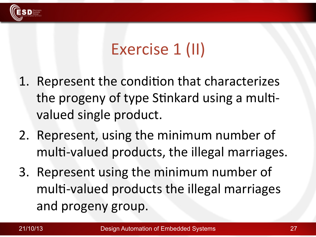

# Exercise 1 (II)

- 1. Represent the condition that characterizes the progeny of type Stinkard using a multivalued single product.
- 2. Represent, using the minimum number of multi-valued products, the illegal marriages.
- 3. Represent using the minimum number of multi-valued products the illegal marriages and progeny group.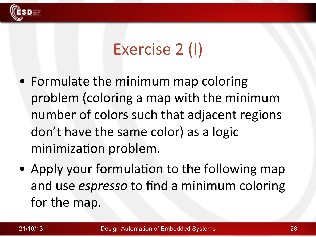

# Exercise 2 (I)

- Formulate the minimum map coloring problem (coloring a map with the minimum number of colors such that adjacent regions don't have the same color) as a logic minimization problem.
- Apply your formulation to the following map and use *espresso* to find a minimum coloring for the map.